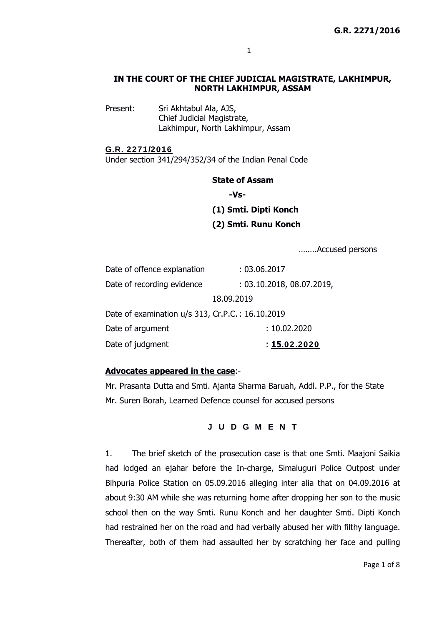### **IN THE COURT OF THE CHIEF JUDICIAL MAGISTRATE, LAKHIMPUR, NORTH LAKHIMPUR, ASSAM**

Present: Sri Akhtabul Ala, AJS, Chief Judicial Magistrate, Lakhimpur, North Lakhimpur, Assam

#### G.R. 2271/2016

Under section 341/294/352/34 of the Indian Penal Code

#### **State of Assam**

 **-Vs-** 

# **(1) Smti. Dipti Konch**

**(2) Smti. Runu Konch** 

……..Accused persons

| Date of offence explanation                      | : 03.06.2017              |
|--------------------------------------------------|---------------------------|
| Date of recording evidence                       | : 03.10.2018, 08.07.2019, |
| 18.09.2019                                       |                           |
| Date of examination u/s 313, Cr.P.C.: 16.10.2019 |                           |
| Date of argument                                 | : 10.02.2020              |
| Date of judgment                                 | : 15.02.2020              |

### **Advocates appeared in the case**:-

Mr. Prasanta Dutta and Smti. Ajanta Sharma Baruah, Addl. P.P., for the State Mr. Suren Borah, Learned Defence counsel for accused persons

### J U D G M E N T

1. The brief sketch of the prosecution case is that one Smti. Maajoni Saikia had lodged an ejahar before the In-charge, Simaluguri Police Outpost under Bihpuria Police Station on 05.09.2016 alleging inter alia that on 04.09.2016 at about 9:30 AM while she was returning home after dropping her son to the music school then on the way Smti. Runu Konch and her daughter Smti. Dipti Konch had restrained her on the road and had verbally abused her with filthy language. Thereafter, both of them had assaulted her by scratching her face and pulling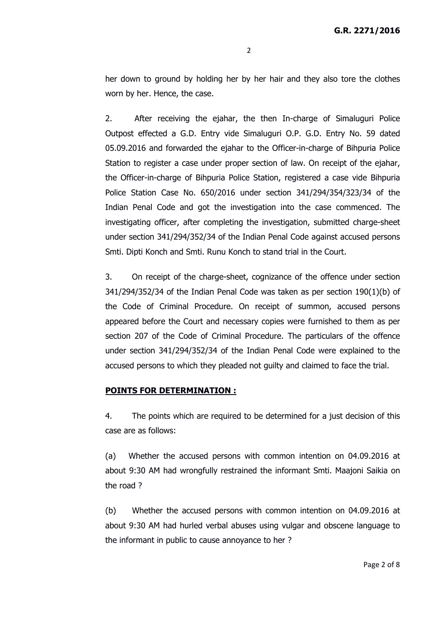her down to ground by holding her by her hair and they also tore the clothes worn by her. Hence, the case.

2. After receiving the ejahar, the then In-charge of Simaluguri Police Outpost effected a G.D. Entry vide Simaluguri O.P. G.D. Entry No. 59 dated 05.09.2016 and forwarded the ejahar to the Officer-in-charge of Bihpuria Police Station to register a case under proper section of law. On receipt of the ejahar, the Officer-in-charge of Bihpuria Police Station, registered a case vide Bihpuria Police Station Case No. 650/2016 under section 341/294/354/323/34 of the Indian Penal Code and got the investigation into the case commenced. The investigating officer, after completing the investigation, submitted charge-sheet under section 341/294/352/34 of the Indian Penal Code against accused persons Smti. Dipti Konch and Smti. Runu Konch to stand trial in the Court.

3. On receipt of the charge-sheet, cognizance of the offence under section  $341/294/352/34$  of the Indian Penal Code was taken as per section  $190(1)(b)$  of the Code of Criminal Procedure. On receipt of summon, accused persons appeared before the Court and necessary copies were furnished to them as per section 207 of the Code of Criminal Procedure. The particulars of the offence under section 341/294/352/34 of the Indian Penal Code were explained to the accused persons to which they pleaded not guilty and claimed to face the trial.

### **POINTS FOR DETERMINATION :**

4. The points which are required to be determined for a just decision of this case are as follows:

(a) Whether the accused persons with common intention on 04.09.2016 at about 9:30 AM had wrongfully restrained the informant Smti. Maajoni Saikia on the road ?

(b) Whether the accused persons with common intention on 04.09.2016 at about 9:30 AM had hurled verbal abuses using vulgar and obscene language to the informant in public to cause annoyance to her ?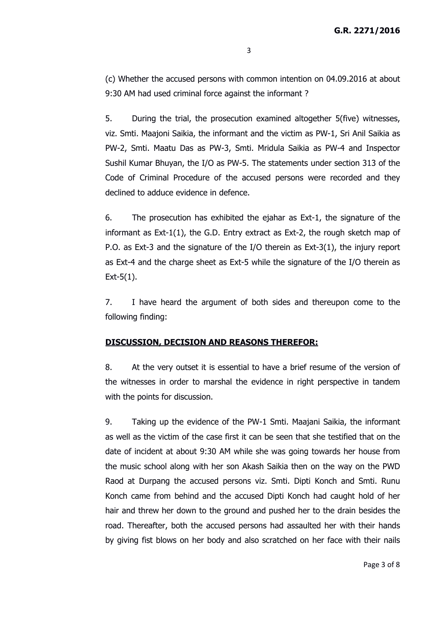(c) Whether the accused persons with common intention on 04.09.2016 at about 9:30 AM had used criminal force against the informant ?

5. During the trial, the prosecution examined altogether 5(five) witnesses, viz. Smti. Maajoni Saikia, the informant and the victim as PW-1, Sri Anil Saikia as PW-2, Smti. Maatu Das as PW-3, Smti. Mridula Saikia as PW-4 and Inspector Sushil Kumar Bhuyan, the I/O as PW-5. The statements under section 313 of the Code of Criminal Procedure of the accused persons were recorded and they declined to adduce evidence in defence.

6. The prosecution has exhibited the ejahar as Ext-1, the signature of the informant as  $Ext-1(1)$ , the G.D. Entry extract as  $Ext-2$ , the rough sketch map of P.O. as Ext-3 and the signature of the I/O therein as Ext-3(1), the injury report as Ext-4 and the charge sheet as Ext-5 while the signature of the I/O therein as Ext-5(1).

7. I have heard the argument of both sides and thereupon come to the following finding:

## **DISCUSSION, DECISION AND REASONS THEREFOR:**

8. At the very outset it is essential to have a brief resume of the version of the witnesses in order to marshal the evidence in right perspective in tandem with the points for discussion.

9. Taking up the evidence of the PW-1 Smti. Maajani Saikia, the informant as well as the victim of the case first it can be seen that she testified that on the date of incident at about 9:30 AM while she was going towards her house from the music school along with her son Akash Saikia then on the way on the PWD Raod at Durpang the accused persons viz. Smti. Dipti Konch and Smti. Runu Konch came from behind and the accused Dipti Konch had caught hold of her hair and threw her down to the ground and pushed her to the drain besides the road. Thereafter, both the accused persons had assaulted her with their hands by giving fist blows on her body and also scratched on her face with their nails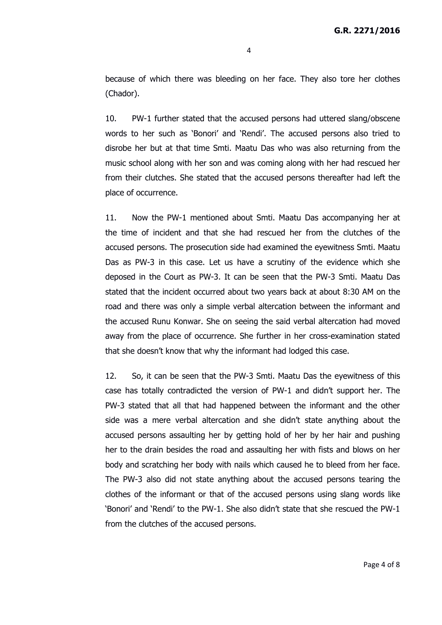because of which there was bleeding on her face. They also tore her clothes (Chador).

10. PW-1 further stated that the accused persons had uttered slang/obscene words to her such as 'Bonori' and 'Rendi'. The accused persons also tried to disrobe her but at that time Smti. Maatu Das who was also returning from the music school along with her son and was coming along with her had rescued her from their clutches. She stated that the accused persons thereafter had left the place of occurrence.

11. Now the PW-1 mentioned about Smti. Maatu Das accompanying her at the time of incident and that she had rescued her from the clutches of the accused persons. The prosecution side had examined the eyewitness Smti. Maatu Das as PW-3 in this case. Let us have a scrutiny of the evidence which she deposed in the Court as PW-3. It can be seen that the PW-3 Smti. Maatu Das stated that the incident occurred about two years back at about 8:30 AM on the road and there was only a simple verbal altercation between the informant and the accused Runu Konwar. She on seeing the said verbal altercation had moved away from the place of occurrence. She further in her cross-examination stated that she doesn't know that why the informant had lodged this case.

12. So, it can be seen that the PW-3 Smti. Maatu Das the eyewitness of this case has totally contradicted the version of PW-1 and didn't support her. The PW-3 stated that all that had happened between the informant and the other side was a mere verbal altercation and she didn't state anything about the accused persons assaulting her by getting hold of her by her hair and pushing her to the drain besides the road and assaulting her with fists and blows on her body and scratching her body with nails which caused he to bleed from her face. The PW-3 also did not state anything about the accused persons tearing the clothes of the informant or that of the accused persons using slang words like 'Bonori' and 'Rendi' to the PW-1. She also didn't state that she rescued the PW-1 from the clutches of the accused persons.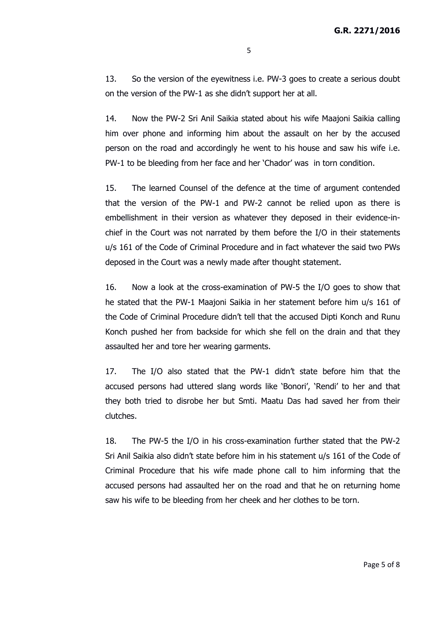13. So the version of the eyewitness i.e. PW-3 goes to create a serious doubt on the version of the PW-1 as she didn't support her at all.

14. Now the PW-2 Sri Anil Saikia stated about his wife Maajoni Saikia calling him over phone and informing him about the assault on her by the accused person on the road and accordingly he went to his house and saw his wife i.e. PW-1 to be bleeding from her face and her 'Chador' was in torn condition.

15. The learned Counsel of the defence at the time of argument contended that the version of the PW-1 and PW-2 cannot be relied upon as there is embellishment in their version as whatever they deposed in their evidence-inchief in the Court was not narrated by them before the I/O in their statements u/s 161 of the Code of Criminal Procedure and in fact whatever the said two PWs deposed in the Court was a newly made after thought statement.

16. Now a look at the cross-examination of PW-5 the I/O goes to show that he stated that the PW-1 Maajoni Saikia in her statement before him u/s 161 of the Code of Criminal Procedure didn't tell that the accused Dipti Konch and Runu Konch pushed her from backside for which she fell on the drain and that they assaulted her and tore her wearing garments.

17. The I/O also stated that the PW-1 didn't state before him that the accused persons had uttered slang words like 'Bonori', 'Rendi' to her and that they both tried to disrobe her but Smti. Maatu Das had saved her from their clutches.

18. The PW-5 the I/O in his cross-examination further stated that the PW-2 Sri Anil Saikia also didn't state before him in his statement u/s 161 of the Code of Criminal Procedure that his wife made phone call to him informing that the accused persons had assaulted her on the road and that he on returning home saw his wife to be bleeding from her cheek and her clothes to be torn.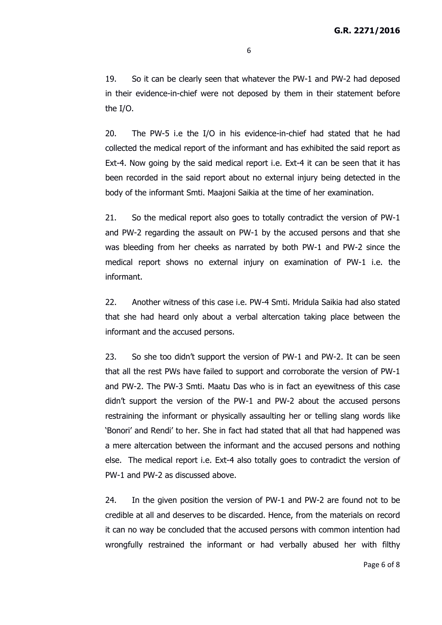19. So it can be clearly seen that whatever the PW-1 and PW-2 had deposed in their evidence-in-chief were not deposed by them in their statement before the I/O.

20. The PW-5 i.e the I/O in his evidence-in-chief had stated that he had collected the medical report of the informant and has exhibited the said report as Ext-4. Now going by the said medical report i.e. Ext-4 it can be seen that it has been recorded in the said report about no external injury being detected in the body of the informant Smti. Maajoni Saikia at the time of her examination.

21. So the medical report also goes to totally contradict the version of PW-1 and PW-2 regarding the assault on PW-1 by the accused persons and that she was bleeding from her cheeks as narrated by both PW-1 and PW-2 since the medical report shows no external injury on examination of PW-1 i.e. the informant.

22. Another witness of this case i.e. PW-4 Smti. Mridula Saikia had also stated that she had heard only about a verbal altercation taking place between the informant and the accused persons.

23. So she too didn't support the version of PW-1 and PW-2. It can be seen that all the rest PWs have failed to support and corroborate the version of PW-1 and PW-2. The PW-3 Smti. Maatu Das who is in fact an eyewitness of this case didn't support the version of the PW-1 and PW-2 about the accused persons restraining the informant or physically assaulting her or telling slang words like 'Bonori' and Rendi' to her. She in fact had stated that all that had happened was a mere altercation between the informant and the accused persons and nothing else. The medical report i.e. Ext-4 also totally goes to contradict the version of PW-1 and PW-2 as discussed above.

24. In the given position the version of PW-1 and PW-2 are found not to be credible at all and deserves to be discarded. Hence, from the materials on record it can no way be concluded that the accused persons with common intention had wrongfully restrained the informant or had verbally abused her with filthy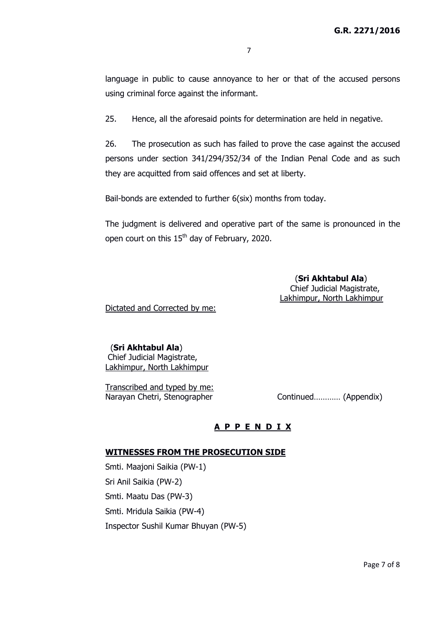language in public to cause annoyance to her or that of the accused persons using criminal force against the informant.

25. Hence, all the aforesaid points for determination are held in negative.

26. The prosecution as such has failed to prove the case against the accused persons under section 341/294/352/34 of the Indian Penal Code and as such they are acquitted from said offences and set at liberty.

Bail-bonds are extended to further 6(six) months from today.

The judgment is delivered and operative part of the same is pronounced in the open court on this 15<sup>th</sup> day of February, 2020.

> (**Sri Akhtabul Ala**) Chief Judicial Magistrate, Lakhimpur, North Lakhimpur

Dictated and Corrected by me:

# (**Sri Akhtabul Ala**)

 Chief Judicial Magistrate, Lakhimpur, North Lakhimpur

Transcribed and typed by me: Narayan Chetri, Stenographer Continued............. (Appendix)

# **A P P E N D I X**

### **WITNESSES FROM THE PROSECUTION SIDE**

Smti. Maajoni Saikia (PW-1) Sri Anil Saikia (PW-2) Smti. Maatu Das (PW-3) Smti. Mridula Saikia (PW-4) Inspector Sushil Kumar Bhuyan (PW-5)